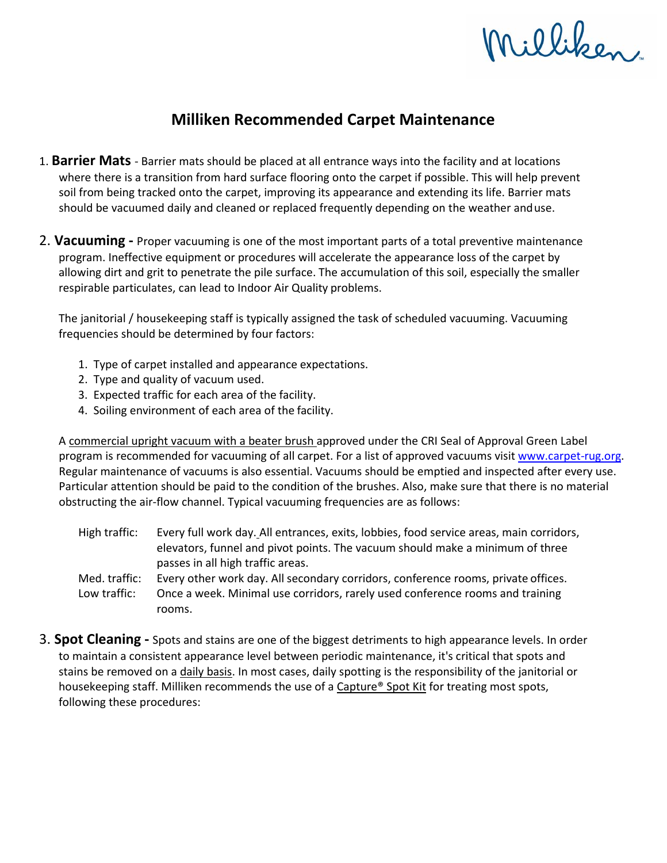## Milliken

## **Milliken Recommended Carpet Maintenance**

- 1. **Barrier Mats**  Barrier mats should be placed at all entrance ways into the facility and at locations where there is a transition from hard surface flooring onto the carpet if possible. This will help prevent soil from being tracked onto the carpet, improving its appearance and extending its life. Barrier mats should be vacuumed daily and cleaned or replaced frequently depending on the weather anduse.
- 2. **Vacuuming** Proper vacuuming is one of the most important parts of a total preventive maintenance program. Ineffective equipment or procedures will accelerate the appearance loss of the carpet by allowing dirt and grit to penetrate the pile surface. The accumulation of this soil, especially the smaller respirable particulates, can lead to Indoor Air Quality problems.

The janitorial / housekeeping staff is typically assigned the task of scheduled vacuuming. Vacuuming frequencies should be determined by four factors:

- 1. Type of carpet installed and appearance expectations.
- 2. Type and quality of vacuum used.
- 3. Expected traffic for each area of the facility.
- 4. Soiling environment of each area of the facility.

A commercial upright vacuum with a beater brush approved under the CRI Seal of Approval Green Label program is recommended for vacuuming of all carpet. For a list of approved vacuums visi[t www.carpet-rug.org.](http://www.carpet-rug.org/) Regular maintenance of vacuums is also essential. Vacuums should be emptied and inspected after every use. Particular attention should be paid to the condition of the brushes. Also, make sure that there is no material obstructing the air-flow channel. Typical vacuuming frequencies are as follows:

- High traffic: Every full work day. All entrances, exits, lobbies, food service areas, main corridors, elevators, funnel and pivot points. The vacuum should make a minimum of three passes in all high traffic areas.
- Med. traffic: Every other work day. All secondary corridors, conference rooms, private offices. Low traffic: Once a week. Minimal use corridors, rarely used conference rooms and training rooms.
- 3. **Spot Cleaning** Spots and stains are one of the biggest detriments to high appearance levels. In order to maintain a consistent appearance level between periodic maintenance, it's critical that spots and stains be removed on a daily basis. In most cases, daily spotting is the responsibility of the janitorial or housekeeping staff. Milliken recommends the use of a Capture® Spot Kit for treating most spots, following these procedures: